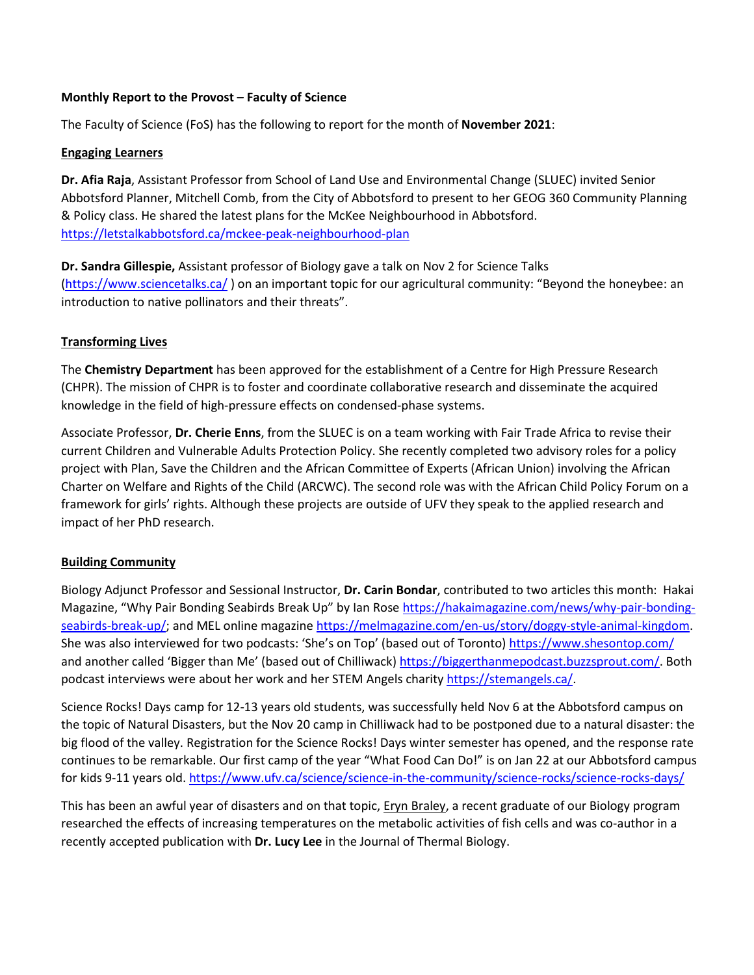## **Monthly Report to the Provost – Faculty of Science**

The Faculty of Science (FoS) has the following to report for the month of **November 2021**:

## **Engaging Learners**

**Dr. Afia Raja**, Assistant Professor from School of Land Use and Environmental Change (SLUEC) invited Senior Abbotsford Planner, Mitchell Comb, from the City of Abbotsford to present to her GEOG 360 Community Planning & Policy class. He shared the latest plans for the McKee Neighbourhood in Abbotsford. <https://letstalkabbotsford.ca/mckee-peak-neighbourhood-plan>

**Dr. Sandra Gillespie,** Assistant professor of Biology gave a talk on Nov 2 for Science Talks [\(https://www.sciencetalks.ca/](https://www.sciencetalks.ca/) ) on an important topic for our agricultural community: "Beyond the honeybee: an introduction to native pollinators and their threats".

## **Transforming Lives**

The **Chemistry Department** has been approved for the establishment of a Centre for High Pressure Research (CHPR). The mission of CHPR is to foster and coordinate collaborative research and disseminate the acquired knowledge in the field of high-pressure effects on condensed-phase systems.

Associate Professor, **Dr. Cherie Enns**, from the SLUEC is on a team working with Fair Trade Africa to revise their current Children and Vulnerable Adults Protection Policy. She recently completed two advisory roles for a policy project with Plan, Save the Children and the African Committee of Experts (African Union) involving the African Charter on Welfare and Rights of the Child (ARCWC). The second role was with the African Child Policy Forum on a framework for girls' rights. Although these projects are outside of UFV they speak to the applied research and impact of her PhD research.

## **Building Community**

Biology Adjunct Professor and Sessional Instructor, **Dr. Carin Bondar**, contributed to two articles this month: Hakai Magazine, "Why Pair Bonding Seabirds Break Up" by Ian Rose [https://hakaimagazine.com/news/why-pair-bonding](https://hakaimagazine.com/news/why-pair-bonding-seabirds-break-up/)[seabirds-break-up/;](https://hakaimagazine.com/news/why-pair-bonding-seabirds-break-up/) and MEL online magazine [https://melmagazine.com/en-us/story/doggy-style-animal-kingdom.](https://melmagazine.com/en-us/story/doggy-style-animal-kingdom) She was also interviewed for two podcasts: 'She's on Top' (based out of Toronto) https://www.shesontop.com/ and another called 'Bigger than Me' (based out of Chilliwack[\) https://biggerthanmepodcast.buzzsprout.com/.](https://biggerthanmepodcast.buzzsprout.com/) Both podcast interviews were about her work and her STEM Angels charit[y https://stemangels.ca/.](https://stemangels.ca/)

Science Rocks! Days camp for 12-13 years old students, was successfully held Nov 6 at the Abbotsford campus on the topic of Natural Disasters, but the Nov 20 camp in Chilliwack had to be postponed due to a natural disaster: the big flood of the valley. Registration for the Science Rocks! Days winter semester has opened, and the response rate continues to be remarkable. Our first camp of the year "What Food Can Do!" is on Jan 22 at our Abbotsford campus for kids 9-11 years old. <https://www.ufv.ca/science/science-in-the-community/science-rocks/science-rocks-days/>

This has been an awful year of disasters and on that topic, Eryn Braley, a recent graduate of our Biology program researched the effects of increasing temperatures on the metabolic activities of fish cells and was co-author in a recently accepted publication with **Dr. Lucy Lee** in the Journal of Thermal Biology.